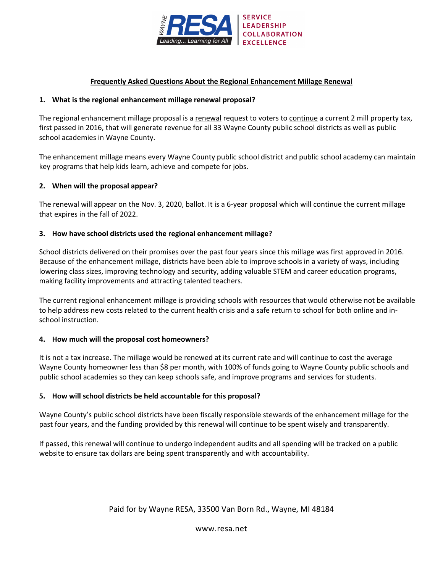

# **Frequently Asked Questions About the Regional Enhancement Millage Renewal**

## **1. What is the regional enhancement millage renewal proposal?**

The regional enhancement millage proposal is a renewal request to voters to continue a current 2 mill property tax, first passed in 2016, that will generate revenue for all 33 Wayne County public school districts as well as public school academies in Wayne County.

The enhancement millage means every Wayne County public school district and public school academy can maintain key programs that help kids learn, achieve and compete for jobs.

## **2. When will the proposal appear?**

The renewal will appear on the Nov. 3, 2020, ballot. It is a 6-year proposal which will continue the current millage that expires in the fall of 2022.

## **3. How have school districts used the regional enhancement millage?**

School districts delivered on their promises over the past four years since this millage was first approved in 2016. Because of the enhancement millage, districts have been able to improve schools in a variety of ways, including lowering class sizes, improving technology and security, adding valuable STEM and career education programs, making facility improvements and attracting talented teachers.

The current regional enhancement millage is providing schools with resources that would otherwise not be available to help address new costs related to the current health crisis and a safe return to school for both online and inschool instruction.

# **4. How much will the proposal cost homeowners?**

It is not a tax increase. The millage would be renewed at its current rate and will continue to cost the average Wayne County homeowner less than \$8 per month, with 100% of funds going to Wayne County public schools and public school academies so they can keep schools safe, and improve programs and services for students.

# **5. How will school districts be held accountable for this proposal?**

Wayne County's public school districts have been fiscally responsible stewards of the enhancement millage for the past four years, and the funding provided by this renewal will continue to be spent wisely and transparently.

If passed, this renewal will continue to undergo independent audits and all spending will be tracked on a public website to ensure tax dollars are being spent transparently and with accountability.

www.resa.net